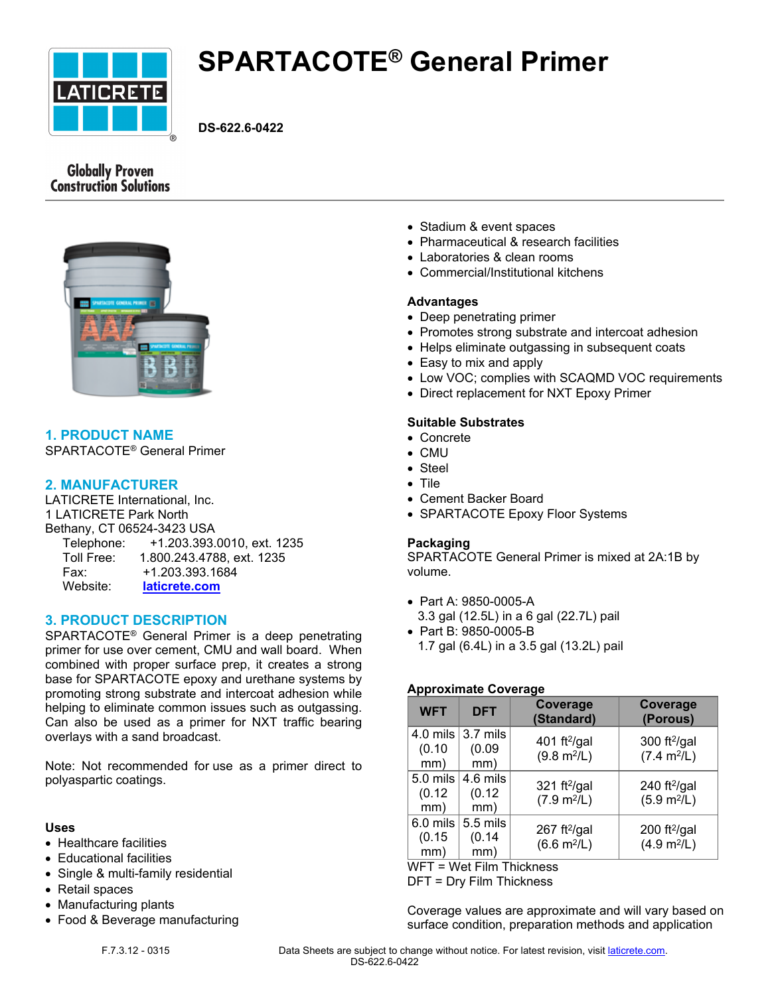

# **SPARTACOTE® General Primer**

**DS-622.6-0422**

# **Globally Proven Construction Solutions**



# **1. PRODUCT NAME**

SPARTACOTE® General Primer

# **2. MANUFACTURER**

LATICRETE International, Inc. 1 LATICRETE Park North Bethany, CT 06524-3423 USA Telephone: +1.203.393.0010, ext. 1235 Toll Free: 1.800.243.4788, ext. 1235 Fax: +1.203.393.1684 Website: **[laticrete.com](https://laticrete.com/)**

# **3. PRODUCT DESCRIPTION**

SPARTACOTE® General Primer is a deep penetrating primer for use over cement, CMU and wall board. When combined with proper surface prep, it creates a strong base for SPARTACOTE epoxy and urethane systems by promoting strong substrate and intercoat adhesion while helping to eliminate common issues such as outgassing. Can also be used as a primer for NXT traffic bearing overlays with a sand broadcast.

Note: Not recommended for use as a primer direct to polyaspartic coatings.

#### **Uses**

- Healthcare facilities
- Educational facilities
- Single & multi-family residential
- Retail spaces
- Manufacturing plants
- Food & Beverage manufacturing
- Stadium & event spaces
- Pharmaceutical & research facilities
- Laboratories & clean rooms
- Commercial/Institutional kitchens

#### **Advantages**

- Deep penetrating primer
- Promotes strong substrate and intercoat adhesion
- Helps eliminate outgassing in subsequent coats
- Easy to mix and apply
- Low VOC; complies with SCAQMD VOC requirements
- Direct replacement for NXT Epoxy Primer

## **Suitable Substrates**

- Concrete
- CMU
- Steel
- Tile
- Cement Backer Board
- SPARTACOTE Epoxy Floor Systems

#### **Packaging**

SPARTACOTE General Primer is mixed at 2A:1B by volume.

- Part A: 9850-0005-A 3.3 gal (12.5L) in a 6 gal (22.7L) pail
- Part B: 9850-0005-B 1.7 gal (6.4L) in a 3.5 gal (13.2L) pail

#### **Approximate Coverage**

| <b>WFT</b>                | <b>DFT</b>                           | Coverage<br>(Standard)                             | <b>Coverage</b><br>(Porous)                   |
|---------------------------|--------------------------------------|----------------------------------------------------|-----------------------------------------------|
| (0.10)<br>mm)             | 4.0 mils $3.7$ mils<br>(0.09)<br>mm) | 401 ft $^{2}/$ gal<br>$(9.8 \text{ m}^2/\text{L})$ | 300 ft $^{2}/$ gal<br>(7.4 m <sup>2</sup> /L) |
| 5.0 mils<br>(0.12)<br>mm) | 4.6 mils<br>(0.12)<br>mm)            | 321 ft $^{2}/$ gal<br>(7.9 m <sup>2</sup> /L)      | 240 ft $^{2}/$ gal<br>(5.9 m <sup>2</sup> /L) |
| 6.0 mils<br>(0.15)<br>mm) | 5.5 mils<br>(0.14)<br>mm)            | 267 ft $^{2}/$ gal<br>$(6.6 \text{ m}^2/\text{L})$ | 200 ft $^{2}/$ gal<br>(4.9 m <sup>2</sup> /L) |

WFT = Wet Film Thickness

DFT = Dry Film Thickness

Coverage values are approximate and will vary based on surface condition, preparation methods and application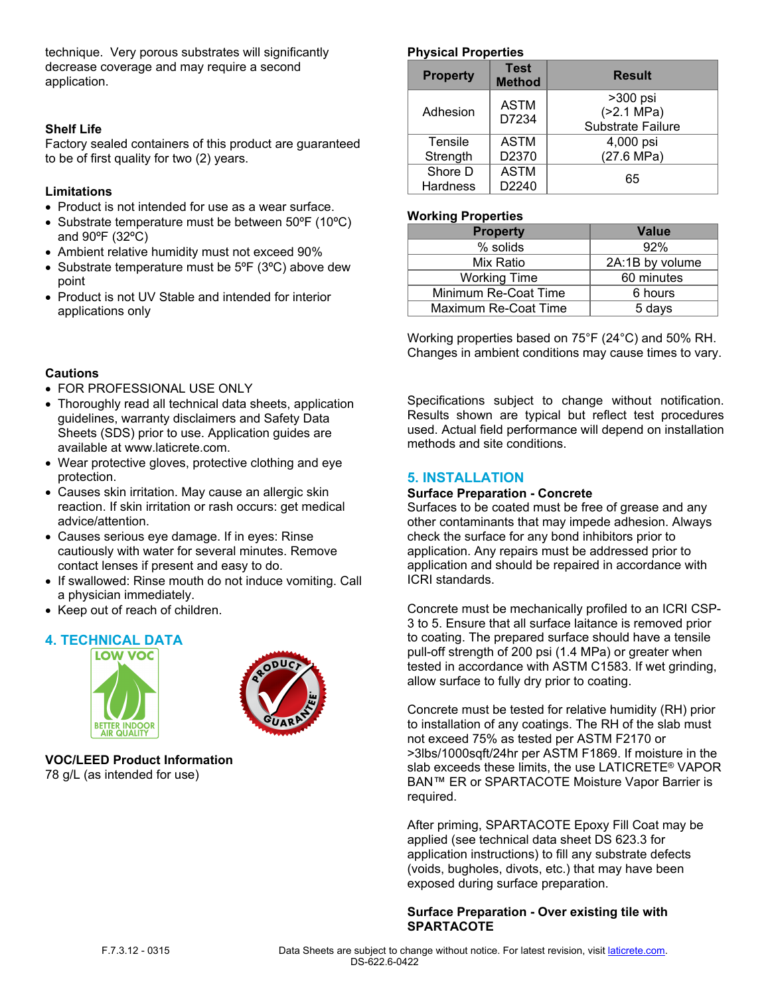technique. Very porous substrates will significantly decrease coverage and may require a second application.

## **Shelf Life**

Factory sealed containers of this product are guaranteed to be of first quality for two (2) years.

## **Limitations**

- Product is not intended for use as a wear surface.
- Substrate temperature must be between 50ºF (10ºC) and 90ºF (32ºC)
- Ambient relative humidity must not exceed 90%
- Substrate temperature must be 5ºF (3ºC) above dew point
- Product is not UV Stable and intended for interior applications only

# **Cautions**

- FOR PROFESSIONAL USE ONLY
- Thoroughly read all technical data sheets, application guidelines, warranty disclaimers and Safety Data Sheets (SDS) prior to use. Application guides are available at www.laticrete.com.
- Wear protective gloves, protective clothing and eye protection.
- Causes skin irritation. May cause an allergic skin reaction. If skin irritation or rash occurs: get medical advice/attention.
- Causes serious eye damage. If in eyes: Rinse cautiously with water for several minutes. Remove contact lenses if present and easy to do.
- If swallowed: Rinse mouth do not induce vomiting. Call a physician immediately.
- Keep out of reach of children.

# **4. TECHNICAL DATA**





**VOC/LEED Product Information** 78 g/L (as intended for use)

# **Physical Properties**

| <b>Property</b>            | <b>Test</b><br><b>Method</b> | <b>Result</b>                                          |
|----------------------------|------------------------------|--------------------------------------------------------|
| Adhesion                   | ASTM<br>D7234                | $>300$ psi<br>( > 2.1 MPa)<br><b>Substrate Failure</b> |
| Tensile<br>Strength        | <b>ASTM</b><br>D2370         | 4,000 psi<br>(27.6 MPa)                                |
| Shore D<br><b>Hardness</b> | <b>ASTM</b><br>D2240         | 65                                                     |

## **Working Properties**

| <b>Property</b>      | <b>Value</b>    |
|----------------------|-----------------|
| % solids             | 92%             |
| Mix Ratio            | 2A:1B by volume |
| <b>Working Time</b>  | 60 minutes      |
| Minimum Re-Coat Time | 6 hours         |
| Maximum Re-Coat Time | 5 days          |

Working properties based on 75°F (24°C) and 50% RH. Changes in ambient conditions may cause times to vary.

Specifications subject to change without notification. Results shown are typical but reflect test procedures used. Actual field performance will depend on installation methods and site conditions.

# **5. INSTALLATION**

#### **Surface Preparation - Concrete**

Surfaces to be coated must be free of grease and any other contaminants that may impede adhesion. Always check the surface for any bond inhibitors prior to application. Any repairs must be addressed prior to application and should be repaired in accordance with ICRI standards.

Concrete must be mechanically profiled to an ICRI CSP-3 to 5. Ensure that all surface laitance is removed prior to coating. The prepared surface should have a tensile pull-off strength of 200 psi (1.4 MPa) or greater when tested in accordance with ASTM C1583. If wet grinding, allow surface to fully dry prior to coating.

Concrete must be tested for relative humidity (RH) prior to installation of any coatings. The RH of the slab must not exceed 75% as tested per ASTM F2170 or >3lbs/1000sqft/24hr per ASTM F1869. If moisture in the slab exceeds these limits, the use LATICRETE® VAPOR BAN™ ER or SPARTACOTE Moisture Vapor Barrier is required.

After priming, SPARTACOTE Epoxy Fill Coat may be applied (see technical data sheet DS 623.3 for application instructions) to fill any substrate defects (voids, bugholes, divots, etc.) that may have been exposed during surface preparation.

#### **Surface Preparation - Over existing tile with SPARTACOTE**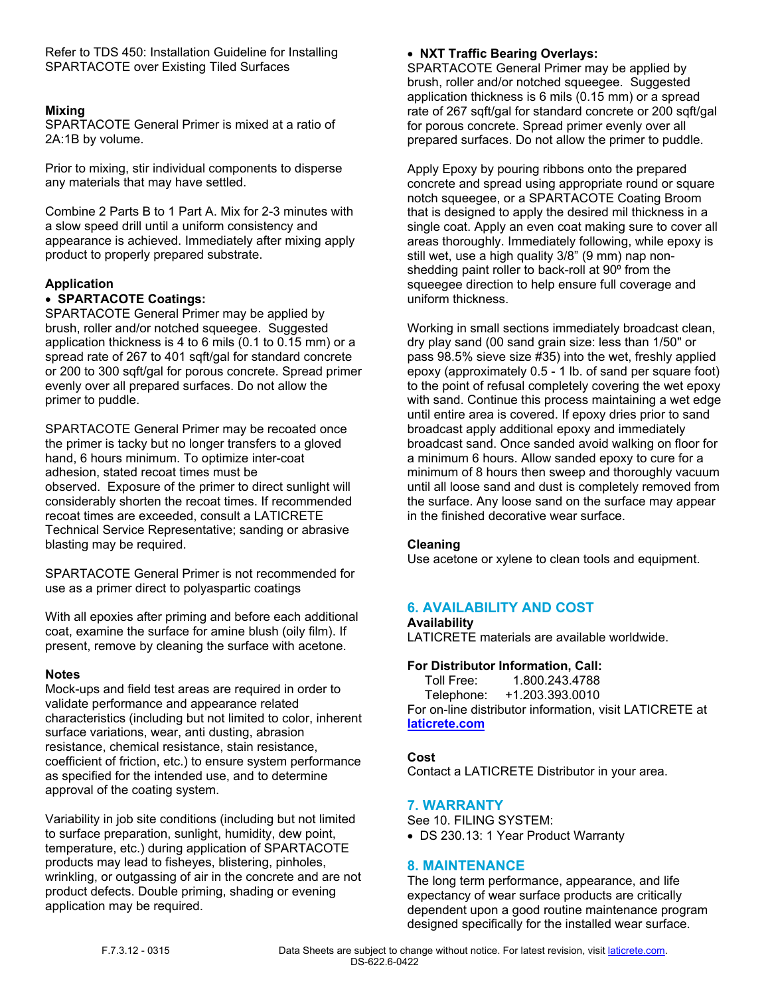Refer to TDS 450: Installation Guideline for Installing SPARTACOTE over Existing Tiled Surfaces

## **Mixing**

SPARTACOTE General Primer is mixed at a ratio of 2A:1B by volume.

Prior to mixing, stir individual components to disperse any materials that may have settled.

Combine 2 Parts B to 1 Part A. Mix for 2-3 minutes with a slow speed drill until a uniform consistency and appearance is achieved. Immediately after mixing apply product to properly prepared substrate.

# **Application**

## • **SPARTACOTE Coatings:**

SPARTACOTE General Primer may be applied by brush, roller and/or notched squeegee. Suggested application thickness is 4 to 6 mils (0.1 to 0.15 mm) or a spread rate of 267 to 401 sqft/gal for standard concrete or 200 to 300 sqft/gal for porous concrete. Spread primer evenly over all prepared surfaces. Do not allow the primer to puddle.

SPARTACOTE General Primer may be recoated once the primer is tacky but no longer transfers to a gloved hand, 6 hours minimum. To optimize inter-coat adhesion, stated recoat times must be observed. Exposure of the primer to direct sunlight will considerably shorten the recoat times. If recommended recoat times are exceeded, consult a LATICRETE Technical Service Representative; sanding or abrasive blasting may be required.

SPARTACOTE General Primer is not recommended for use as a primer direct to polyaspartic coatings

With all epoxies after priming and before each additional coat, examine the surface for amine blush (oily film). If present, remove by cleaning the surface with acetone.

#### **Notes**

Mock-ups and field test areas are required in order to validate performance and appearance related characteristics (including but not limited to color, inherent surface variations, wear, anti dusting, abrasion resistance, chemical resistance, stain resistance, coefficient of friction, etc.) to ensure system performance as specified for the intended use, and to determine approval of the coating system.

Variability in job site conditions (including but not limited to surface preparation, sunlight, humidity, dew point, temperature, etc.) during application of SPARTACOTE products may lead to fisheyes, blistering, pinholes, wrinkling, or outgassing of air in the concrete and are not product defects. Double priming, shading or evening application may be required.

#### • **NXT Traffic Bearing Overlays:**

SPARTACOTE General Primer may be applied by brush, roller and/or notched squeegee. Suggested application thickness is 6 mils (0.15 mm) or a spread rate of 267 sqft/gal for standard concrete or 200 sqft/gal for porous concrete. Spread primer evenly over all prepared surfaces. Do not allow the primer to puddle.

Apply Epoxy by pouring ribbons onto the prepared concrete and spread using appropriate round or square notch squeegee, or a SPARTACOTE Coating Broom that is designed to apply the desired mil thickness in a single coat. Apply an even coat making sure to cover all areas thoroughly. Immediately following, while epoxy is still wet, use a high quality 3/8" (9 mm) nap nonshedding paint roller to back-roll at 90° from the squeegee direction to help ensure full coverage and uniform thickness.

Working in small sections immediately broadcast clean, dry play sand (00 sand grain size: less than 1/50" or pass 98.5% sieve size #35) into the wet, freshly applied epoxy (approximately 0.5 - 1 lb. of sand per square foot) to the point of refusal completely covering the wet epoxy with sand. Continue this process maintaining a wet edge until entire area is covered. If epoxy dries prior to sand broadcast apply additional epoxy and immediately broadcast sand. Once sanded avoid walking on floor for a minimum 6 hours. Allow sanded epoxy to cure for a minimum of 8 hours then sweep and thoroughly vacuum until all loose sand and dust is completely removed from the surface. Any loose sand on the surface may appear in the finished decorative wear surface.

#### **Cleaning**

Use acetone or xylene to clean tools and equipment.

# **6. AVAILABILITY AND COST**

**Availability** LATICRETE materials are available worldwide.

#### **For Distributor Information, Call:**

 Toll Free: 1.800.243.4788 Telephone: +1.203.393.0010 For on-line distributor information, visit LATICRETE at **[laticrete.com](https://laticrete.com/)**

# **Cost**

Contact a LATICRETE Distributor in your area.

#### **7. WARRANTY**

See 10. FILING SYSTEM:

• DS 230.13: 1 Year Product Warranty

#### **8. MAINTENANCE**

The long term performance, appearance, and life expectancy of wear surface products are critically dependent upon a good routine maintenance program designed specifically for the installed wear surface.